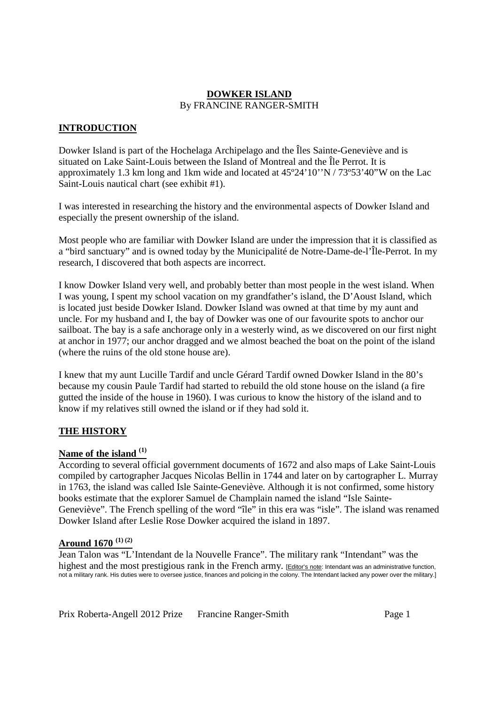## **DOWKER ISLAND** By FRANCINE RANGER-SMITH

# **INTRODUCTION**

Dowker Island is part of the Hochelaga Archipelago and the Îles Sainte-Geneviève and is situated on Lake Saint-Louis between the Island of Montreal and the Île Perrot. It is approximately 1.3 km long and 1km wide and located at 45º24'10''N / 73º53'40"W on the Lac Saint-Louis nautical chart (see exhibit #1).

I was interested in researching the history and the environmental aspects of Dowker Island and especially the present ownership of the island.

Most people who are familiar with Dowker Island are under the impression that it is classified as a "bird sanctuary" and is owned today by the Municipalité de Notre-Dame-de-l'Île-Perrot. In my research, I discovered that both aspects are incorrect.

I know Dowker Island very well, and probably better than most people in the west island. When I was young, I spent my school vacation on my grandfather's island, the D'Aoust Island, which is located just beside Dowker Island. Dowker Island was owned at that time by my aunt and uncle. For my husband and I, the bay of Dowker was one of our favourite spots to anchor our sailboat. The bay is a safe anchorage only in a westerly wind, as we discovered on our first night at anchor in 1977; our anchor dragged and we almost beached the boat on the point of the island (where the ruins of the old stone house are).

I knew that my aunt Lucille Tardif and uncle Gérard Tardif owned Dowker Island in the 80's because my cousin Paule Tardif had started to rebuild the old stone house on the island (a fire gutted the inside of the house in 1960). I was curious to know the history of the island and to know if my relatives still owned the island or if they had sold it.

# **THE HISTORY**

# **Name of the island (1)**

According to several official government documents of 1672 and also maps of Lake Saint-Louis compiled by cartographer Jacques Nicolas Bellin in 1744 and later on by cartographer L. Murray in 1763, the island was called Isle Sainte-Geneviève. Although it is not confirmed, some history books estimate that the explorer Samuel de Champlain named the island "Isle Sainte-Geneviève". The French spelling of the word "île" in this era was "isle". The island was renamed Dowker Island after Leslie Rose Dowker acquired the island in 1897.

# **Around 1670 (1) (2)**

Jean Talon was "L'Intendant de la Nouvelle France". The military rank "Intendant" was the highest and the most prestigious rank in the French army. [Editor's note: Intendant was an administrative function, not a military rank. His duties were to oversee justice, finances and policing in the colony. The Intendant lacked any power over the military.]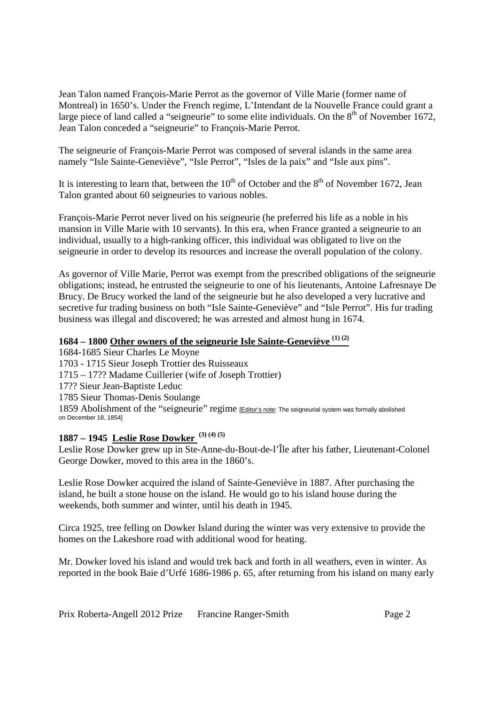Jean Talon named François-Marie Perrot as the governor of Ville Marie (former name of Montreal) in 1650's. Under the French regime, L'Intendant de la Nouvelle France could grant a large piece of land called a "seigneurie" to some elite individuals. On the  $8<sup>th</sup>$  of November 1672, Jean Talon conceded a "seigneurie" to François-Marie Perrot.

The seigneurie of François-Marie Perrot was composed of several islands in the same area namely "Isle Sainte-Geneviève", "Isle Perrot", "Isles de la paix" and "Isle aux pins".

It is interesting to learn that, between the  $10^{th}$  of October and the  $8^{th}$  of November 1672, Jean Talon granted about 60 seigneuries to various nobles.

François-Marie Perrot never lived on his seigneurie (he preferred his life as a noble in his mansion in Ville Marie with 10 servants). In this era, when France granted a seigneurie to an individual, usually to a high-ranking officer, this individual was obligated to live on the seigneurie in order to develop its resources and increase the overall population of the colony.

As governor of Ville Marie, Perrot was exempt from the prescribed obligations of the seigneurie obligations; instead, he entrusted the seigneurie to one of his lieutenants, Antoine Lafresnaye De Brucy. De Brucy worked the land of the seigneurie but he also developed a very lucrative and secretive fur trading business on both "Isle Sainte-Geneviève" and "Isle Perrot". His fur trading business was illegal and discovered; he was arrested and almost hung in 1674.

# **1684 – 1800 Other owners of the seigneurie Isle Sainte-Geneviève (1) (2)**

1684-1685 Sieur Charles Le Moyne 1703 - 1715 Sieur Joseph Trottier des Ruisseaux 1715 – 17?? Madame Cuillerier (wife of Joseph Trottier) 17?? Sieur Jean-Baptiste Leduc 1785 Sieur Thomas-Denis Soulange 1859 Abolishment of the "seigneurie" regime [Editor's note: The seigneurial system was formally abolished on December 18, 1854]

# **1887 – 1945 Leslie Rose Dowker (3) (4) (5)**

Leslie Rose Dowker grew up in Ste-Anne-du-Bout-de-l'Île after his father, Lieutenant-Colonel George Dowker, moved to this area in the 1860's.

Leslie Rose Dowker acquired the island of Sainte-Geneviève in 1887. After purchasing the island, he built a stone house on the island. He would go to his island house during the weekends, both summer and winter, until his death in 1945.

Circa 1925, tree felling on Dowker Island during the winter was very extensive to provide the homes on the Lakeshore road with additional wood for heating.

Mr. Dowker loved his island and would trek back and forth in all weathers, even in winter. As reported in the book Baie d'Urfé 1686-1986 p. 65, after returning from his island on many early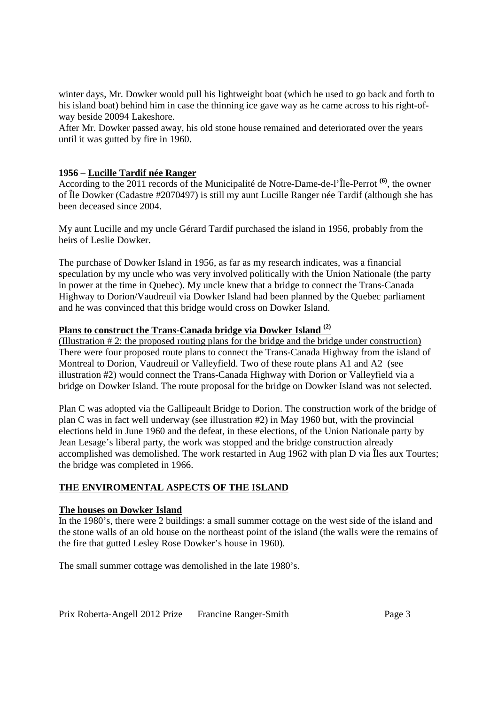winter days, Mr. Dowker would pull his lightweight boat (which he used to go back and forth to his island boat) behind him in case the thinning ice gave way as he came across to his right-ofway beside 20094 Lakeshore.

After Mr. Dowker passed away, his old stone house remained and deteriorated over the years until it was gutted by fire in 1960.

## **1956 – Lucille Tardif née Ranger**

According to the 2011 records of the Municipalité de Notre-Dame-de-l'Île-Perrot **(6)**, the owner of Île Dowker (Cadastre #2070497) is still my aunt Lucille Ranger née Tardif (although she has been deceased since 2004.

My aunt Lucille and my uncle Gérard Tardif purchased the island in 1956, probably from the heirs of Leslie Dowker.

The purchase of Dowker Island in 1956, as far as my research indicates, was a financial speculation by my uncle who was very involved politically with the Union Nationale (the party in power at the time in Quebec). My uncle knew that a bridge to connect the Trans-Canada Highway to Dorion/Vaudreuil via Dowker Island had been planned by the Quebec parliament and he was convinced that this bridge would cross on Dowker Island.

#### **Plans to construct the Trans-Canada bridge via Dowker Island (2)**

(Illustration # 2: the proposed routing plans for the bridge and the bridge under construction) There were four proposed route plans to connect the Trans-Canada Highway from the island of Montreal to Dorion, Vaudreuil or Valleyfield. Two of these route plans A1 and A2 (see illustration #2) would connect the Trans-Canada Highway with Dorion or Valleyfield via a bridge on Dowker Island. The route proposal for the bridge on Dowker Island was not selected.

Plan C was adopted via the Gallipeault Bridge to Dorion. The construction work of the bridge of plan C was in fact well underway (see illustration #2) in May 1960 but, with the provincial elections held in June 1960 and the defeat, in these elections, of the Union Nationale party by Jean Lesage's liberal party, the work was stopped and the bridge construction already accomplished was demolished. The work restarted in Aug 1962 with plan D via Îles aux Tourtes; the bridge was completed in 1966.

# **THE ENVIROMENTAL ASPECTS OF THE ISLAND**

# **The houses on Dowker Island**

In the 1980's, there were 2 buildings: a small summer cottage on the west side of the island and the stone walls of an old house on the northeast point of the island (the walls were the remains of the fire that gutted Lesley Rose Dowker's house in 1960).

The small summer cottage was demolished in the late 1980's.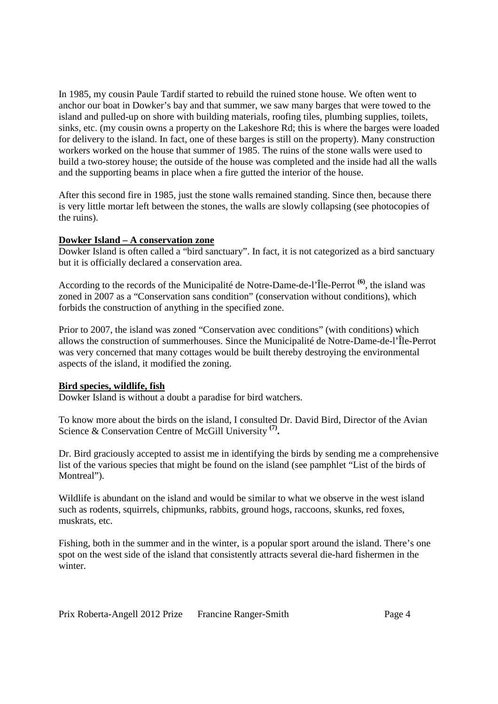In 1985, my cousin Paule Tardif started to rebuild the ruined stone house. We often went to anchor our boat in Dowker's bay and that summer, we saw many barges that were towed to the island and pulled-up on shore with building materials, roofing tiles, plumbing supplies, toilets, sinks, etc. (my cousin owns a property on the Lakeshore Rd; this is where the barges were loaded for delivery to the island. In fact, one of these barges is still on the property). Many construction workers worked on the house that summer of 1985. The ruins of the stone walls were used to build a two-storey house; the outside of the house was completed and the inside had all the walls and the supporting beams in place when a fire gutted the interior of the house.

After this second fire in 1985, just the stone walls remained standing. Since then, because there is very little mortar left between the stones, the walls are slowly collapsing (see photocopies of the ruins).

# **Dowker Island – A conservation zone**

Dowker Island is often called a "bird sanctuary". In fact, it is not categorized as a bird sanctuary but it is officially declared a conservation area.

According to the records of the Municipalité de Notre-Dame-de-l'Île-Perrot **(6)**, the island was zoned in 2007 as a "Conservation sans condition" (conservation without conditions), which forbids the construction of anything in the specified zone.

Prior to 2007, the island was zoned "Conservation avec conditions" (with conditions) which allows the construction of summerhouses. Since the Municipalité de Notre-Dame-de-l'Île-Perrot was very concerned that many cottages would be built thereby destroying the environmental aspects of the island, it modified the zoning.

# **Bird species, wildlife, fish**

Dowker Island is without a doubt a paradise for bird watchers.

To know more about the birds on the island, I consulted Dr. David Bird, Director of the Avian Science & Conservation Centre of McGill University **(7) .**

Dr. Bird graciously accepted to assist me in identifying the birds by sending me a comprehensive list of the various species that might be found on the island (see pamphlet "List of the birds of Montreal").

Wildlife is abundant on the island and would be similar to what we observe in the west island such as rodents, squirrels, chipmunks, rabbits, ground hogs, raccoons, skunks, red foxes, muskrats, etc.

Fishing, both in the summer and in the winter, is a popular sport around the island. There's one spot on the west side of the island that consistently attracts several die-hard fishermen in the winter.